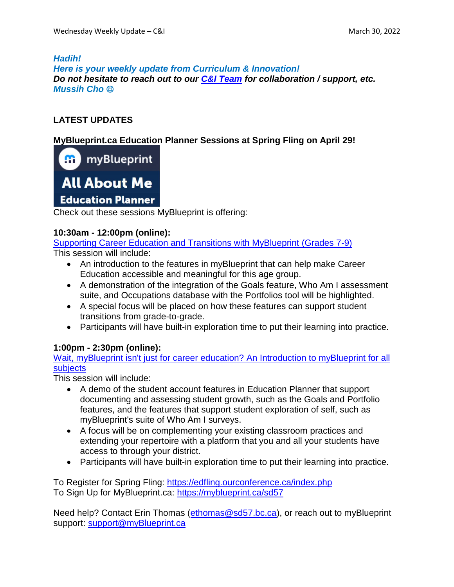## *Hadih!*

*Here is your weekly update from Curriculum & Innovation! Do not hesitate to reach out to our C&I [Team](https://www.sd57curriculumhub.com/who-are-we) for collaboration / support, etc. Mussih Cho*

# **LATEST UPDATES**

## **MyBlueprint.ca Education Planner Sessions at Spring Fling on April 29!**

**H** myBlueprint



Check out these sessions MyBlueprint is offering:

## **10:30am - 12:00pm (online):**

Supporting Career Education and Transitions with [MyBlueprint](https://edfling.ourconference.ca/index.php?Page=Workshop&code=WP4MYEX) (Grades 7-9) This session will include:

- An introduction to the features in myBlueprint that can help make Career Education accessible and meaningful for this age group.
- A demonstration of the integration of the Goals feature, Who Am I assessment suite, and Occupations database with the Portfolios tool will be highlighted.
- A special focus will be placed on how these features can support student transitions from grade-to-grade.
- Participants will have built-in exploration time to put their learning into practice.

## **1:00pm - 2:30pm (online):**

Wait, [myBlueprint](https://edfling.ourconference.ca/index.php?Page=Workshop&code=WYDB6FR) isn't just for career education? An Introduction to myBlueprint for all [subjects](https://edfling.ourconference.ca/index.php?Page=Workshop&code=WYDB6FR)

This session will include:

- A demo of the student account features in Education Planner that support documenting and assessing student growth, such as the Goals and Portfolio features, and the features that support student exploration of self, such as myBlueprint's suite of Who Am I surveys.
- A focus will be on complementing your existing classroom practices and extending your repertoire with a platform that you and all your students have access to through your district.
- Participants will have built-in exploration time to put their learning into practice.

To Register for Spring Fling: <https://edfling.ourconference.ca/index.php> To Sign Up for MyBlueprint.ca: <https://myblueprint.ca/sd57>

Need help? Contact Erin Thomas [\(ethomas@sd57.bc.ca\)](mailto:ethomas@sd57.bc.ca), or reach out to myBlueprint support: [support@myBlueprint.ca](mailto:support@myBlueprint.ca)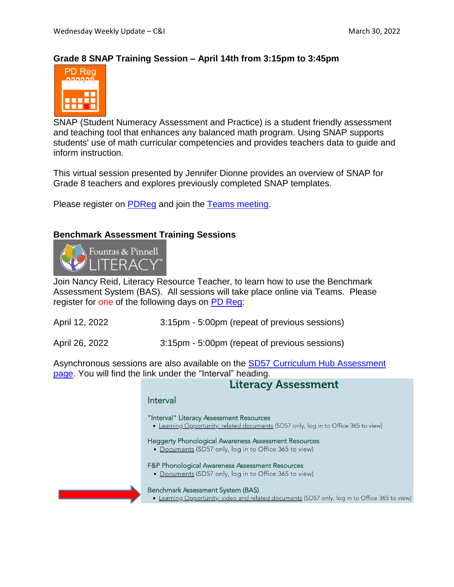## **Grade 8 SNAP Training Session – April 14th from 3:15pm to 3:45pm**



SNAP (Student Numeracy Assessment and Practice) is a student friendly assessment and teaching tool that enhances any balanced math program. Using SNAP supports students' use of math curricular competencies and provides teachers data to guide and inform instruction.

This virtual session presented by Jennifer Dionne provides an overview of SNAP for Grade 8 teachers and explores previously completed SNAP templates.

Please register on [PDReg](https://schdist57.sharepoint.com/sites/pdhub) and join the Teams [meeting.](https://teams.microsoft.com/l/meetup-join/19%3asnvQ7tNpyDUbybfxdl-RQtajresxi1NpGgbgcSFldJM1%40thread.tacv2/1646948020650?context=%7b%22Tid%22%3a%225b9667b0-988f-4a70-b078-286faef38924%22%2c%22Oid%22%3a%22bc77eb17-8caf-4aae-aa80-898ab8aaefa9%22%7d)

#### **Benchmark Assessment Training Sessions**



Join Nancy Reid, Literacy Resource Teacher, to learn how to use the Benchmark Assessment System (BAS). All sessions will take place online via Teams. Please register for one of the following days on PD [Reg:](https://schdist57.sharepoint.com/sites/pdhub)

April 12, 2022 3:15pm - 5:00pm (repeat of previous sessions)

April 26, 2022 3:15pm - 5:00pm (repeat of previous sessions)

Asynchronous sessions are also available on the SD57 Curriculum Hub [Assessment](https://www.sd57curriculumhub.com/assessment) [page.](https://www.sd57curriculumhub.com/assessment) You will find the link under the "Interval" heading.

## **Literacy Assessment**